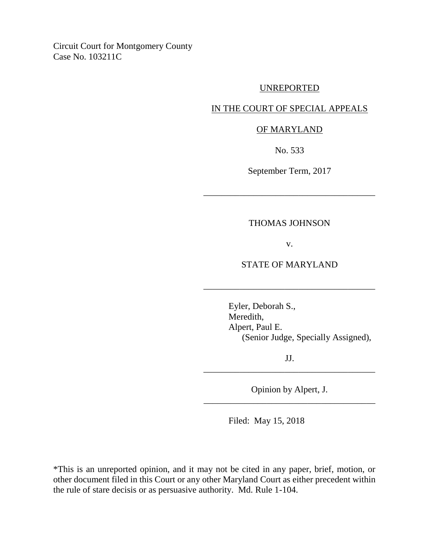Circuit Court for Montgomery County Case No. 103211C

### UNREPORTED

## IN THE COURT OF SPECIAL APPEALS

#### OF MARYLAND

No. 533

September Term, 2017

\_\_\_\_\_\_\_\_\_\_\_\_\_\_\_\_\_\_\_\_\_\_\_\_\_\_\_\_\_\_\_\_\_\_\_\_\_\_

## THOMAS JOHNSON

v.

#### STATE OF MARYLAND

\_\_\_\_\_\_\_\_\_\_\_\_\_\_\_\_\_\_\_\_\_\_\_\_\_\_\_\_\_\_\_\_\_\_\_\_\_\_

Eyler, Deborah S., Meredith, Alpert, Paul E. (Senior Judge, Specially Assigned),

JJ. \_\_\_\_\_\_\_\_\_\_\_\_\_\_\_\_\_\_\_\_\_\_\_\_\_\_\_\_\_\_\_\_\_\_\_\_\_\_

Opinion by Alpert, J. \_\_\_\_\_\_\_\_\_\_\_\_\_\_\_\_\_\_\_\_\_\_\_\_\_\_\_\_\_\_\_\_\_\_\_\_\_\_

Filed: May 15, 2018

\*This is an unreported opinion, and it may not be cited in any paper, brief, motion, or other document filed in this Court or any other Maryland Court as either precedent within the rule of stare decisis or as persuasive authority. Md. Rule 1-104.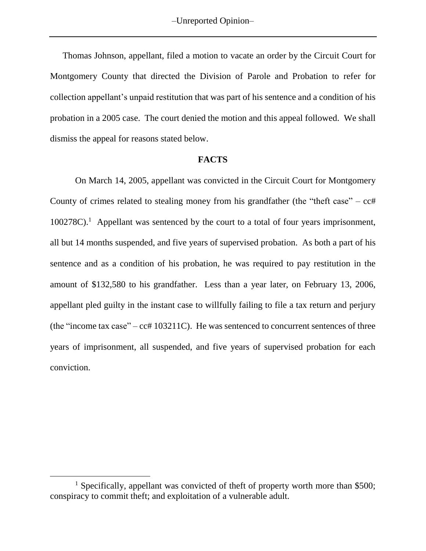Thomas Johnson, appellant, filed a motion to vacate an order by the Circuit Court for Montgomery County that directed the Division of Parole and Probation to refer for collection appellant's unpaid restitution that was part of his sentence and a condition of his probation in a 2005 case. The court denied the motion and this appeal followed. We shall dismiss the appeal for reasons stated below.

#### **FACTS**

On March 14, 2005, appellant was convicted in the Circuit Court for Montgomery County of crimes related to stealing money from his grandfather (the "theft case" –  $cct$ "  $100278C$ .<sup>1</sup> Appellant was sentenced by the court to a total of four years imprisonment, all but 14 months suspended, and five years of supervised probation. As both a part of his sentence and as a condition of his probation, he was required to pay restitution in the amount of \$132,580 to his grandfather. Less than a year later, on February 13, 2006, appellant pled guilty in the instant case to willfully failing to file a tax return and perjury (the "income tax case" –  $cct$  103211C). He was sentenced to concurrent sentences of three years of imprisonment, all suspended, and five years of supervised probation for each conviction.

 $\overline{a}$ 

<sup>&</sup>lt;sup>1</sup> Specifically, appellant was convicted of theft of property worth more than \$500; conspiracy to commit theft; and exploitation of a vulnerable adult.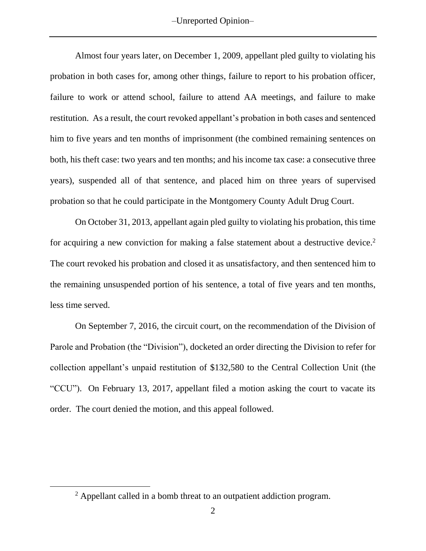–Unreported Opinion–

Almost four years later, on December 1, 2009, appellant pled guilty to violating his probation in both cases for, among other things, failure to report to his probation officer, failure to work or attend school, failure to attend AA meetings, and failure to make restitution. As a result, the court revoked appellant's probation in both cases and sentenced him to five years and ten months of imprisonment (the combined remaining sentences on both, his theft case: two years and ten months; and his income tax case: a consecutive three years), suspended all of that sentence, and placed him on three years of supervised probation so that he could participate in the Montgomery County Adult Drug Court.

On October 31, 2013, appellant again pled guilty to violating his probation, this time for acquiring a new conviction for making a false statement about a destructive device.<sup>2</sup> The court revoked his probation and closed it as unsatisfactory, and then sentenced him to the remaining unsuspended portion of his sentence, a total of five years and ten months, less time served.

On September 7, 2016, the circuit court, on the recommendation of the Division of Parole and Probation (the "Division"), docketed an order directing the Division to refer for collection appellant's unpaid restitution of \$132,580 to the Central Collection Unit (the "CCU"). On February 13, 2017, appellant filed a motion asking the court to vacate its order. The court denied the motion, and this appeal followed.

 $\overline{a}$ 

<sup>&</sup>lt;sup>2</sup> Appellant called in a bomb threat to an outpatient addiction program.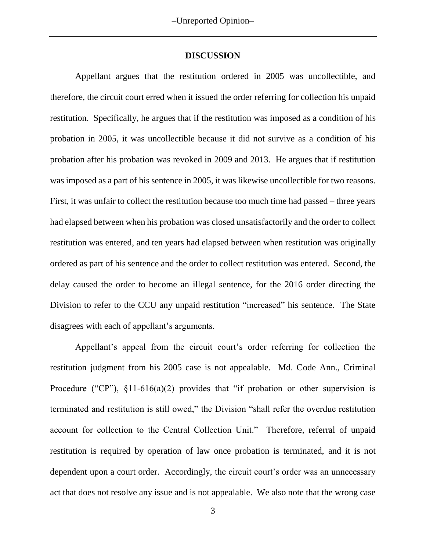#### **DISCUSSION**

Appellant argues that the restitution ordered in 2005 was uncollectible, and therefore, the circuit court erred when it issued the order referring for collection his unpaid restitution. Specifically, he argues that if the restitution was imposed as a condition of his probation in 2005, it was uncollectible because it did not survive as a condition of his probation after his probation was revoked in 2009 and 2013. He argues that if restitution was imposed as a part of his sentence in 2005, it was likewise uncollectible for two reasons. First, it was unfair to collect the restitution because too much time had passed – three years had elapsed between when his probation was closed unsatisfactorily and the order to collect restitution was entered, and ten years had elapsed between when restitution was originally ordered as part of his sentence and the order to collect restitution was entered. Second, the delay caused the order to become an illegal sentence, for the 2016 order directing the Division to refer to the CCU any unpaid restitution "increased" his sentence. The State disagrees with each of appellant's arguments.

Appellant's appeal from the circuit court's order referring for collection the restitution judgment from his 2005 case is not appealable. Md. Code Ann., Criminal Procedure ("CP"),  $\S11-616(a)(2)$  provides that "if probation or other supervision is terminated and restitution is still owed," the Division "shall refer the overdue restitution account for collection to the Central Collection Unit." Therefore, referral of unpaid restitution is required by operation of law once probation is terminated, and it is not dependent upon a court order. Accordingly, the circuit court's order was an unnecessary act that does not resolve any issue and is not appealable. We also note that the wrong case